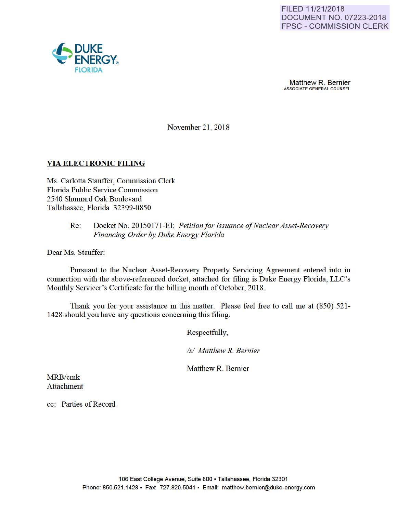

November 21, 2018

## VIA ELECTRONIC FILING

Ms. Carlotta Stauffer, Commission Clerk Florida Public Service Commission 2540 Shumard Oak Boulevard Tallahassee, Florida 32399-0850

### Re: Docket No. 20150171-EI; *Petitionfor Issuance of Nuclear Asset-Recovery Financing Order by Duke Energy Florida*

Dear Ms. Stauffer:

Pursuant to the Nuclear Asset-Recovery Property Servicing Agreement entered into in connection with the above-referenced docket, attached for filing is Duke Energy Florida, LLC's Monthly Servicer's Certificate for the billing month of October, 2018.

Thank you for your assistance in this matter. Please feel free to call me at (850) 521- 1428 should you have any questions conceming this filing.

Respectfully,

*Is/ Matthew R. Bernier* 

Matthew R. Bemier

MRB/cmk Attachment

cc: Parties of Record

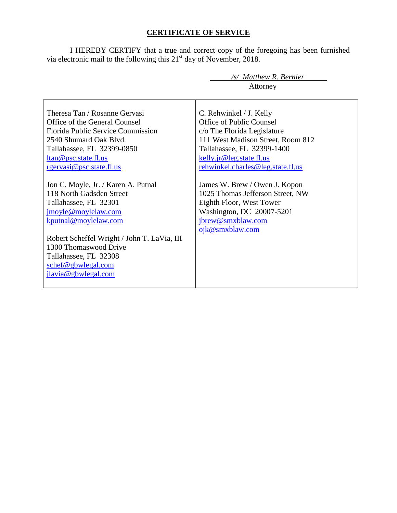# **CERTIFICATE OF SERVICE**

I HEREBY CERTIFY that a true and correct copy of the foregoing has been furnished via electronic mail to the following this  $21<sup>st</sup>$  day of November, 2018.

| /s/ Matthew R. Bernier                      |                                   |  |  |
|---------------------------------------------|-----------------------------------|--|--|
|                                             | Attorney                          |  |  |
|                                             |                                   |  |  |
| Theresa Tan / Rosanne Gervasi               | C. Rehwinkel / J. Kelly           |  |  |
| Office of the General Counsel               | Office of Public Counsel          |  |  |
| <b>Florida Public Service Commission</b>    | c/o The Florida Legislature       |  |  |
| 2540 Shumard Oak Blyd.                      | 111 West Madison Street, Room 812 |  |  |
| Tallahassee, FL 32399-0850                  | Tallahassee, FL 32399-1400        |  |  |
| ltan@psc.state.fl.us                        | kelly.jr@leg.state.fl.us          |  |  |
| rgervasi@psc.state.fl.us                    | rehwinkel.charles@leg.state.fl.us |  |  |
|                                             |                                   |  |  |
| Jon C. Moyle, Jr. / Karen A. Putnal         | James W. Brew / Owen J. Kopon     |  |  |
| 118 North Gadsden Street                    | 1025 Thomas Jefferson Street, NW  |  |  |
| Tallahassee, FL 32301                       | Eighth Floor, West Tower          |  |  |
| jmoyle@moylelaw.com                         | Washington, DC 20007-5201         |  |  |
| kputnal@moylelaw.com                        | jbrew@smxblaw.com                 |  |  |
|                                             | ojk@smxblaw.com                   |  |  |
| Robert Scheffel Wright / John T. LaVia, III |                                   |  |  |
| 1300 Thomaswood Drive                       |                                   |  |  |
| Tallahassee, FL 32308                       |                                   |  |  |
| schef@gbwlegal.com                          |                                   |  |  |
| jlavia@gbwlegal.com                         |                                   |  |  |
|                                             |                                   |  |  |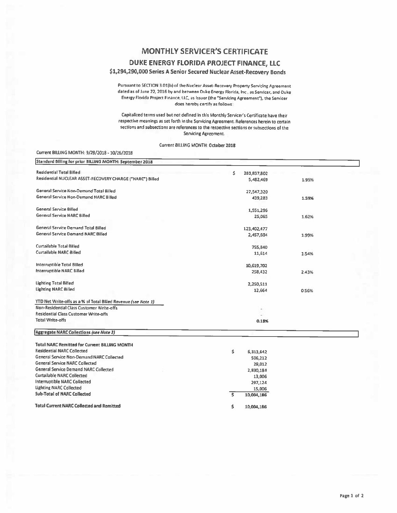# **MONTHLY SERVICER'S CERTIFICATE**

#### DUKE ENERGY FLORIDA PROJECT FINANCE, LLC

#### \$1,294,290,000 Series A Senior Secured Nuclear Asset-Recovery Bonds

Pursuant to SECTION 3.01(b) of the Nuclear Asset-Recovery Property Servicing Agreement dated as of June 22, 2016 by and between Duke Energy Florida, Inc., as Servicer, and Ouke Energy Florida Project Finance, LLC, as Issuer (the "Servicing Agreement"), the Servicer does hereby certify as follows:

Capitalized terms used but not defined in this Monthly Servicer's Certificate have their respective meanings as set forth in the Servicing Agreement. References herein to certain sections and subsections are references to the respective sections or subsections of the Servicing Agreement.

Current BILLING MONTH: October 2018

#### Current BILLING MONTH: 9/28/2018 - 10/26/2018

| Standard Billing for prior BILLING MONTH: September 2018       |                   |       |  |
|----------------------------------------------------------------|-------------------|-------|--|
| <b>Residential Total Billed</b>                                | Ś.<br>280,837,802 |       |  |
| Residential NUCLEAR ASSET-RECOVERY CHARGE ("NARC") Billed      | 5,482,469         | 1.95% |  |
| General Service Non-Demand Total Billed                        | 27,547,320        |       |  |
| General Service Non-Demand NARC Billed                         | 439,283           | 1.59% |  |
| <b>General Service Billed</b>                                  | 1,551,296         |       |  |
| <b>General Service NARC Billed</b>                             | 25,065            | 1.62% |  |
| General Service Demand Total Billed                            | 123,402,477       |       |  |
| <b>General Service Demand NARC Billed</b>                      | 2,457,604         | 1.99% |  |
| Curtailable Total Billed                                       | 755,840           |       |  |
| Curtailable NARC Billed                                        | 11,614            | 1.54% |  |
| Interruptible Total Billed                                     | 10,619,702        |       |  |
| Interruptible NARC Billed                                      | 258,432           | 2.43% |  |
| <b>Lighting Total Billed</b>                                   | 2,250,511         |       |  |
| <b>Lighting NARC Billed</b>                                    | 12,664            | 0.56% |  |
| YTD Net Write-offs as a % of Total Billed Revenue (see Note 1) |                   |       |  |
| Non-Residential Class Customer Write-offs                      |                   |       |  |
| Residential Class Customer Write-offs                          |                   |       |  |
| <b>Total Write-offs</b>                                        | 0.18%             |       |  |
| <b>Aggregate NARC Collections (see Note 2)</b>                 |                   |       |  |
| <b>Total NARC Remitted for Current BILLING MONTH</b>           |                   |       |  |
| <b>Residential NARC Collected</b>                              | s<br>6,313,642    |       |  |
| General Service Non-Demand NARC Collected                      | 506,212           |       |  |
| <b>General Service NARC Collected</b>                          | 29,012            |       |  |
| <b>General Service Demand NARC Collected</b>                   | 2,830,184         |       |  |
| Curtallable NARC Collected                                     | 13,006            |       |  |
| Interruptible NARC Collected                                   | 297.124           |       |  |

15,006

10,004,186

10,004,186

ड

Ś

**Total Current NARC Collected and Remitted** 

**Lighting NARC Collected** 

**Sub-Total of NARC Collected**